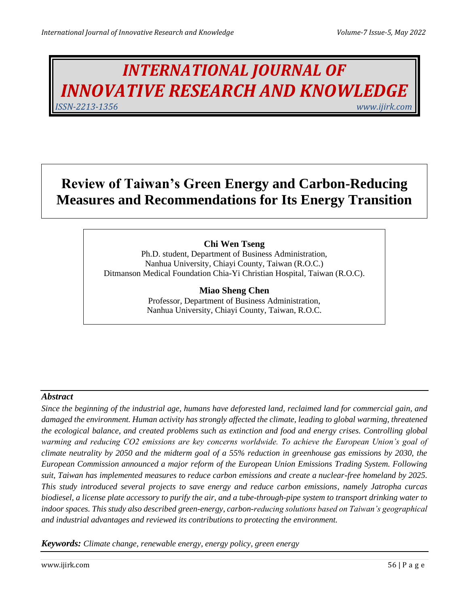# *INTERNATIONAL JOURNAL OF INNOVATIVE RESEARCH AND KNOWLEDGE ISSN-2213-1356 www.ijirk.com*

## **Review of Taiwan's Green Energy and Carbon-Reducing Measures and Recommendations for Its Energy Transition**

## **Chi Wen Tseng**

Ph.D. student, Department of Business Administration, Nanhua University, Chiayi County, Taiwan (R.O.C.) Ditmanson Medical Foundation Chia-Yi Christian Hospital, Taiwan (R.O.C).

## **Miao Sheng Chen**

Professor, Department of Business Administration, Nanhua University, Chiayi County, Taiwan, R.O.C.

## *Abstract*

*Since the beginning of the industrial age, humans have deforested land, reclaimed land for commercial gain, and damaged the environment. Human activity has strongly affected the climate, leading to global warming, threatened the ecological balance, and created problems such as extinction and food and energy crises. Controlling global warming and reducing CO2 emissions are key concerns worldwide. To achieve the European Union's goal of climate neutrality by 2050 and the midterm goal of a 55% reduction in greenhouse gas emissions by 2030, the European Commission announced a major reform of the European Union Emissions Trading System. Following suit, Taiwan has implemented measures to reduce carbon emissions and create a nuclear-free homeland by 2025. This study introduced several projects to save energy and reduce carbon emissions, namely Jatropha curcas biodiesel, a license plate accessory to purify the air, and a tube-through-pipe system to transport drinking water to indoor spaces. This study also described green-energy, carbon-reducing solutions based on Taiwan's geographical and industrial advantages and reviewed its contributions to protecting the environment.*

*Keywords: Climate change, renewable energy, energy policy, green energy*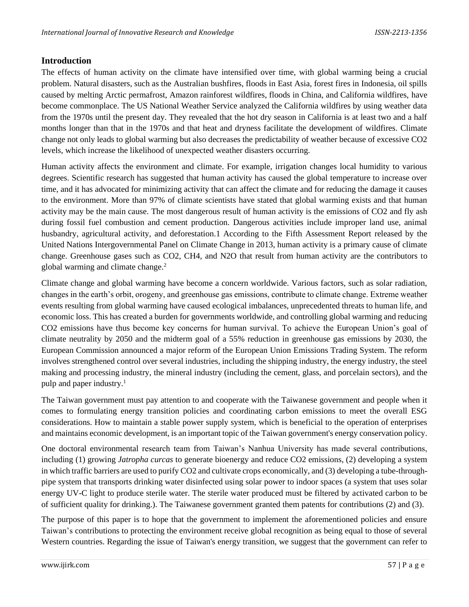#### **Introduction**

The effects of human activity on the climate have intensified over time, with global warming being a crucial problem. Natural disasters, such as the Australian bushfires, floods in East Asia, forest fires in Indonesia, oil spills caused by melting Arctic permafrost, Amazon rainforest wildfires, floods in China, and California wildfires, have become commonplace. The US National Weather Service analyzed the California wildfires by using weather data from the 1970s until the present day. They revealed that the hot dry season in California is at least two and a half months longer than that in the 1970s and that heat and dryness facilitate the development of wildfires. Climate change not only leads to global warming but also decreases the predictability of weather because of excessive CO2 levels, which increase the likelihood of unexpected weather disasters occurring.

Human activity affects the environment and climate. For example, irrigation changes local humidity to various degrees. Scientific research has suggested that human activity has caused the global temperature to increase over time, and it has advocated for minimizing activity that can affect the climate and for reducing the damage it causes to the environment. More than 97% of climate scientists have stated that global warming exists and that human activity may be the main cause. The most dangerous result of human activity is the emissions of CO2 and fly ash during fossil fuel combustion and cement production. Dangerous activities include improper land use, animal husbandry, agricultural activity, and deforestation.1 According to the Fifth Assessment Report released by the United Nations Intergovernmental Panel on Climate Change in 2013, human activity is a primary cause of climate change. Greenhouse gases such as CO2, CH4, and N2O that result from human activity are the contributors to global warming and climate change.<sup>2</sup>

Climate change and global warming have become a concern worldwide. Various factors, such as solar radiation, changes in the earth's orbit, orogeny, and greenhouse gas emissions, contribute to climate change. Extreme weather events resulting from global warming have caused ecological imbalances, unprecedented threats to human life, and economic loss. This has created a burden for governments worldwide, and controlling global warming and reducing CO2 emissions have thus become key concerns for human survival. To achieve the European Union's goal of climate neutrality by 2050 and the midterm goal of a 55% reduction in greenhouse gas emissions by 2030, the European Commission announced a major reform of the European Union Emissions Trading System. The reform involves strengthened control over several industries, including the shipping industry, the energy industry, the steel making and processing industry, the mineral industry (including the cement, glass, and porcelain sectors), and the pulp and paper industry.<sup>1</sup>

The Taiwan government must pay attention to and cooperate with the Taiwanese government and people when it comes to formulating energy transition policies and coordinating carbon emissions to meet the overall ESG considerations. How to maintain a stable power supply system, which is beneficial to the operation of enterprises and maintains economic development, is an important topic of the Taiwan government's energy conservation policy.

One doctoral environmental research team from Taiwan's Nanhua University has made several contributions, including (1) growing *Jatropha curcas* to generate bioenergy and reduce CO2 emissions, (2) developing a system in which traffic barriers are used to purify CO2 and cultivate crops economically, and (3) developing a tube-throughpipe system that transports drinking water disinfected using solar power to indoor spaces (a system that uses solar energy UV-C light to produce sterile water. The sterile water produced must be filtered by activated carbon to be of sufficient quality for drinking.). The Taiwanese government granted them patents for contributions (2) and (3).

The purpose of this paper is to hope that the government to implement the aforementioned policies and ensure Taiwan's contributions to protecting the environment receive global recognition as being equal to those of several Western countries. Regarding the issue of Taiwan's energy transition, we suggest that the government can refer to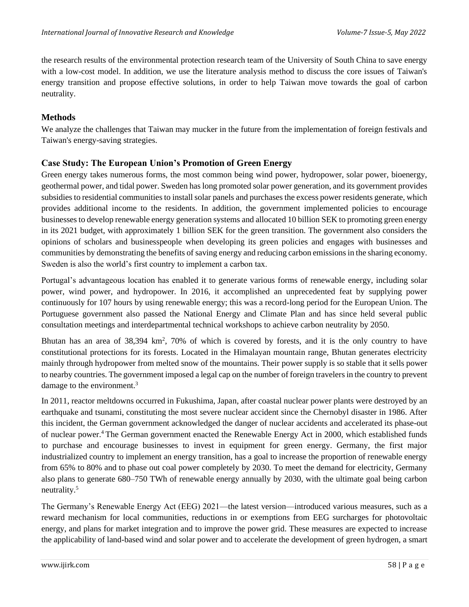the research results of the environmental protection research team of the University of South China to save energy with a low-cost model. In addition, we use the literature analysis method to discuss the core issues of Taiwan's energy transition and propose effective solutions, in order to help Taiwan move towards the goal of carbon neutrality.

#### **Methods**

We analyze the challenges that Taiwan may mucker in the future from the implementation of foreign festivals and Taiwan's energy-saving strategies.

#### **Case Study: The European Union's Promotion of Green Energy**

Green energy takes numerous forms, the most common being wind power, hydropower, solar power, bioenergy, geothermal power, and tidal power. Sweden has long promoted solar power generation, and its government provides subsidies to residential communities to install solar panels and purchases the excess power residents generate, which provides additional income to the residents. In addition, the government implemented policies to encourage businesses to develop renewable energy generation systems and allocated 10 billion SEK to promoting green energy in its 2021 budget, with approximately 1 billion SEK for the green transition. The government also considers the opinions of scholars and businesspeople when developing its green policies and engages with businesses and communities by demonstrating the benefits of saving energy and reducing carbon emissions in the sharing economy. Sweden is also the world's first country to implement a carbon tax.

Portugal's advantageous location has enabled it to generate various forms of renewable energy, including solar power, wind power, and hydropower. In 2016, it accomplished an unprecedented feat by supplying power continuously for 107 hours by using renewable energy; this was a record-long period for the European Union. The Portuguese government also passed the National Energy and Climate Plan and has since held several public consultation meetings and interdepartmental technical workshops to achieve carbon neutrality by 2050.

Bhutan has an area of  $38,394 \text{ km}^2$ ,  $70\%$  of which is covered by forests, and it is the only country to have constitutional protections for its forests. Located in the Himalayan mountain range, Bhutan generates electricity mainly through hydropower from melted snow of the mountains. Their power supply is so stable that it sells power to nearby countries. The government imposed a legal cap on the number of foreign travelers in the country to prevent damage to the environment.<sup>3</sup>

In 2011, reactor meltdowns occurred in Fukushima, Japan, after coastal nuclear power plants were destroyed by an earthquake and tsunami, constituting the most severe nuclear accident since the Chernobyl disaster in 1986. After this incident, the German government acknowledged the danger of nuclear accidents and accelerated its phase-out of nuclear power.<sup>4</sup>The German government enacted the Renewable Energy Act in 2000, which established funds to purchase and encourage businesses to invest in equipment for green energy. Germany, the first major industrialized country to implement an energy transition, has a goal to increase the proportion of renewable energy from 65% to 80% and to phase out coal power completely by 2030. To meet the demand for electricity, Germany also plans to generate 680–750 TWh of renewable energy annually by 2030, with the ultimate goal being carbon neutrality.<sup>5</sup>

The Germany's Renewable Energy Act (EEG) 2021—the latest version—introduced various measures, such as a reward mechanism for local communities, reductions in or exemptions from EEG surcharges for photovoltaic energy, and plans for market integration and to improve the power grid. These measures are expected to increase the applicability of land-based wind and solar power and to accelerate the development of green hydrogen, a smart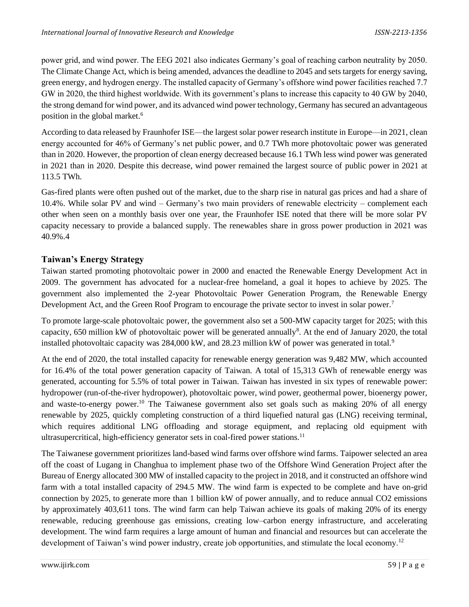power grid, and wind power. The EEG 2021 also indicates Germany's goal of reaching carbon neutrality by 2050. The Climate Change Act, which is being amended, advances the deadline to 2045 and sets targets for energy saving, green energy, and hydrogen energy. The installed capacity of Germany's offshore wind power facilities reached 7.7 GW in 2020, the third highest worldwide. With its government's plans to increase this capacity to 40 GW by 2040, the strong demand for wind power, and its advanced wind power technology, Germany has secured an advantageous position in the global market.<sup>6</sup>

According to data released by Fraunhofer ISE—the largest solar power research institute in Europe—in 2021, clean energy accounted for 46% of Germany's net public power, and 0.7 TWh more photovoltaic power was generated than in 2020. However, the proportion of clean energy decreased because 16.1 TWh less wind power was generated in 2021 than in 2020. Despite this decrease, wind power remained the largest source of public power in 2021 at 113.5 TWh.

Gas-fired plants were often pushed out of the market, due to the sharp rise in natural gas prices and had a share of 10.4%. While solar PV and wind – Germany's two main providers of renewable electricity – complement each other when seen on a monthly basis over one year, the Fraunhofer ISE noted that there will be more solar PV capacity necessary to provide a balanced supply. The renewables share in gross power production in 2021 was 40.9%.4

## **Taiwan's Energy Strategy**

Taiwan started promoting photovoltaic power in 2000 and enacted the Renewable Energy Development Act in 2009. The government has advocated for a nuclear-free homeland, a goal it hopes to achieve by 2025. The government also implemented the 2-year Photovoltaic Power Generation Program, the Renewable Energy Development Act, and the Green Roof Program to encourage the private sector to invest in solar power.<sup>7</sup>

To promote large-scale photovoltaic power, the government also set a 500-MW capacity target for 2025; with this capacity, 650 million kW of photovoltaic power will be generated annually<sup>8</sup>. At the end of January 2020, the total installed photovoltaic capacity was 284,000 kW, and 28.23 million kW of power was generated in total.<sup>9</sup>

At the end of 2020, the total installed capacity for renewable energy generation was 9,482 MW, which accounted for 16.4% of the total power generation capacity of Taiwan. A total of 15,313 GWh of renewable energy was generated, accounting for 5.5% of total power in Taiwan. Taiwan has invested in six types of renewable power: hydropower (run-of-the-river hydropower), photovoltaic power, wind power, geothermal power, bioenergy power, and waste-to-energy power.<sup>10</sup> The Taiwanese government also set goals such as making 20% of all energy renewable by 2025, quickly completing construction of a third liquefied natural gas (LNG) receiving terminal, which requires additional LNG offloading and storage equipment, and replacing old equipment with ultrasupercritical, high-efficiency generator sets in coal-fired power stations.<sup>11</sup>

The Taiwanese government prioritizes land-based wind farms over offshore wind farms. Taipower selected an area off the coast of Lugang in Changhua to implement phase two of the Offshore Wind Generation Project after the Bureau of Energy allocated 300 MW of installed capacity to the project in 2018, and it constructed an offshore wind farm with a total installed capacity of 294.5 MW. The wind farm is expected to be complete and have on-grid connection by 2025, to generate more than 1 billion kW of power annually, and to reduce annual CO2 emissions by approximately 403,611 tons. The wind farm can help Taiwan achieve its goals of making 20% of its energy renewable, reducing greenhouse gas emissions, creating low–carbon energy infrastructure, and accelerating development. The wind farm requires a large amount of human and financial and resources but can accelerate the development of Taiwan's wind power industry, create job opportunities, and stimulate the local economy.<sup>12</sup>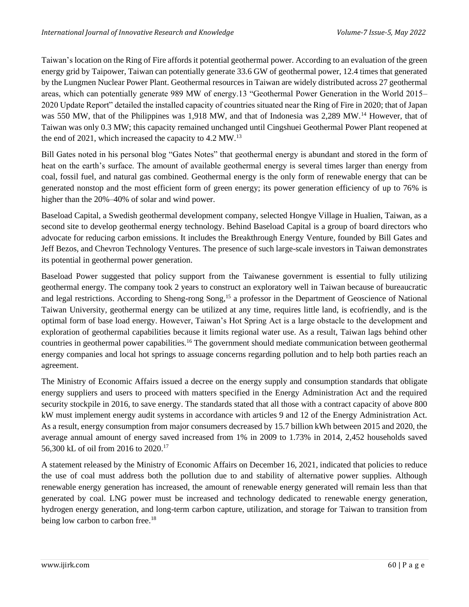Taiwan's location on the Ring of Fire affords it potential geothermal power. According to an evaluation of the green energy grid by Taipower, Taiwan can potentially generate 33.6 GW of geothermal power, 12.4 times that generated by the Lungmen Nuclear Power Plant. Geothermal resources in Taiwan are widely distributed across 27 geothermal areas, which can potentially generate 989 MW of energy.13 "Geothermal Power Generation in the World 2015– 2020 Update Report" detailed the installed capacity of countries situated near the Ring of Fire in 2020; that of Japan was 550 MW, that of the Philippines was 1,918 MW, and that of Indonesia was 2,289 MW.<sup>14</sup> However, that of Taiwan was only 0.3 MW; this capacity remained unchanged until Cingshuei Geothermal Power Plant reopened at the end of 2021, which increased the capacity to 4.2 MW.<sup>13</sup>

Bill Gates noted in his personal blog "Gates Notes" that geothermal energy is abundant and stored in the form of heat on the earth's surface. The amount of available geothermal energy is several times larger than energy from coal, fossil fuel, and natural gas combined. Geothermal energy is the only form of renewable energy that can be generated nonstop and the most efficient form of green energy; its power generation efficiency of up to 76% is higher than the 20%–40% of solar and wind power.

Baseload Capital, a Swedish geothermal development company, selected Hongye Village in Hualien, Taiwan, as a second site to develop geothermal energy technology. Behind Baseload Capital is a group of board directors who advocate for reducing carbon emissions. It includes the Breakthrough Energy Venture, founded by Bill Gates and Jeff Bezos, and Chevron Technology Ventures. The presence of such large-scale investors in Taiwan demonstrates its potential in geothermal power generation.

Baseload Power suggested that policy support from the Taiwanese government is essential to fully utilizing geothermal energy. The company took 2 years to construct an exploratory well in Taiwan because of bureaucratic and legal restrictions. According to Sheng-rong Song,<sup>15</sup> a professor in the Department of Geoscience of National Taiwan University, geothermal energy can be utilized at any time, requires little land, is ecofriendly, and is the optimal form of base load energy. However, Taiwan's Hot Spring Act is a large obstacle to the development and exploration of geothermal capabilities because it limits regional water use. As a result, Taiwan lags behind other countries in geothermal power capabilities.<sup>16</sup> The government should mediate communication between geothermal energy companies and local hot springs to assuage concerns regarding pollution and to help both parties reach an agreement.

The Ministry of Economic Affairs issued a decree on the energy supply and consumption standards that obligate energy suppliers and users to proceed with matters specified in the Energy Administration Act and the required security stockpile in 2016, to save energy. The standards stated that all those with a contract capacity of above 800 kW must implement energy audit systems in accordance with articles 9 and 12 of the Energy Administration Act. As a result, energy consumption from major consumers decreased by 15.7 billion kWh between 2015 and 2020, the average annual amount of energy saved increased from 1% in 2009 to 1.73% in 2014, 2,452 households saved 56,300 kL of oil from 2016 to 2020.<sup>17</sup>

A statement released by the Ministry of Economic Affairs on December 16, 2021, indicated that policies to reduce the use of coal must address both the pollution due to and stability of alternative power supplies. Although renewable energy generation has increased, the amount of renewable energy generated will remain less than that generated by coal. LNG power must be increased and technology dedicated to renewable energy generation, hydrogen energy generation, and long-term carbon capture, utilization, and storage for Taiwan to transition from being low carbon to carbon free.<sup>18</sup>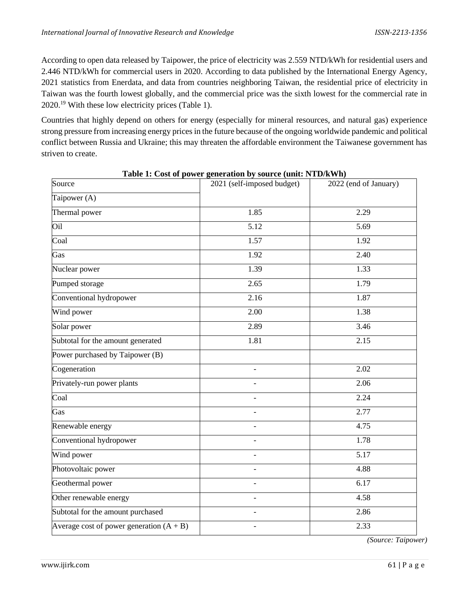According to open data released by Taipower, the price of electricity was 2.559 NTD/kWh for residential users and 2.446 NTD/kWh for commercial users in 2020. According to data published by the International Energy Agency, 2021 statistics from Enerdata, and data from countries neighboring Taiwan, the residential price of electricity in Taiwan was the fourth lowest globally, and the commercial price was the sixth lowest for the commercial rate in 2020.<sup>19</sup> With these low electricity prices (Table 1).

Countries that highly depend on others for energy (especially for mineral resources, and natural gas) experience strong pressure from increasing energy prices in the future because of the ongoing worldwide pandemic and political conflict between Russia and Ukraine; this may threaten the affordable environment the Taiwanese government has striven to create.

| Source                                     | Table 1. Cost of power generation by source (unit. F(1D/KWH)<br>$\overline{2021}$ (self-imposed budget) | 2022 (end of January) |
|--------------------------------------------|---------------------------------------------------------------------------------------------------------|-----------------------|
|                                            |                                                                                                         |                       |
| $\overline{\text{Taipower}}$ (A)           |                                                                                                         |                       |
| Thermal power                              | 1.85                                                                                                    | 2.29                  |
| Oil                                        | $\overline{5.12}$                                                                                       | 5.69                  |
| Coal                                       | 1.57                                                                                                    | 1.92                  |
| Gas                                        | 1.92                                                                                                    | 2.40                  |
| Nuclear power                              | 1.39                                                                                                    | 1.33                  |
| Pumped storage                             | 2.65                                                                                                    | 1.79                  |
| Conventional hydropower                    | 2.16                                                                                                    | 1.87                  |
| Wind power                                 | 2.00                                                                                                    | 1.38                  |
| Solar power                                | 2.89                                                                                                    | 3.46                  |
| Subtotal for the amount generated          | 1.81                                                                                                    | 2.15                  |
| Power purchased by Taipower (B)            |                                                                                                         |                       |
| Cogeneration                               | $\overline{\phantom{a}}$                                                                                | 2.02                  |
| Privately-run power plants                 |                                                                                                         | 2.06                  |
| Coal                                       |                                                                                                         | 2.24                  |
| Gas                                        |                                                                                                         | 2.77                  |
| Renewable energy                           |                                                                                                         | 4.75                  |
| Conventional hydropower                    |                                                                                                         | 1.78                  |
| Wind power                                 |                                                                                                         | 5.17                  |
| Photovoltaic power                         | $\overline{a}$                                                                                          | 4.88                  |
| Geothermal power                           | $\overline{\phantom{a}}$                                                                                | 6.17                  |
| Other renewable energy                     | $\overline{\phantom{a}}$                                                                                | 4.58                  |
| Subtotal for the amount purchased          | $\overline{\phantom{a}}$                                                                                | 2.86                  |
| Average cost of power generation $(A + B)$ | $\overline{\phantom{0}}$                                                                                | 2.33                  |

**Table 1: Cost of power generation by source (unit: NTD/kWh)**

*(Source: Taipower)*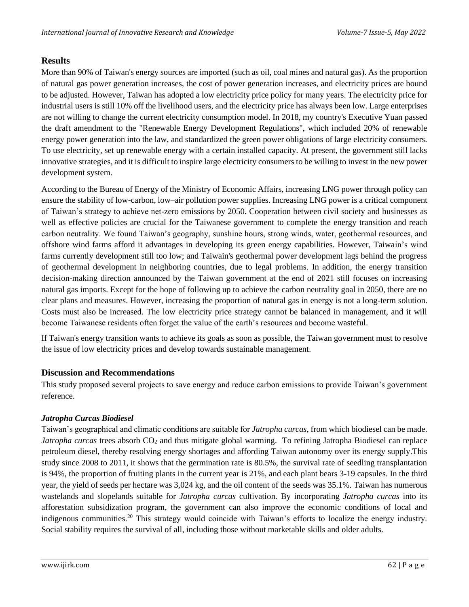#### **Results**

More than 90% of Taiwan's energy sources are imported (such as oil, coal mines and natural gas). As the proportion of natural gas power generation increases, the cost of power generation increases, and electricity prices are bound to be adjusted. However, Taiwan has adopted a low electricity price policy for many years. The electricity price for industrial users is still 10% off the livelihood users, and the electricity price has always been low. Large enterprises are not willing to change the current electricity consumption model. In 2018, my country's Executive Yuan passed the draft amendment to the "Renewable Energy Development Regulations", which included 20% of renewable energy power generation into the law, and standardized the green power obligations of large electricity consumers. To use electricity, set up renewable energy with a certain installed capacity. At present, the government still lacks innovative strategies, and it is difficult to inspire large electricity consumers to be willing to invest in the new power development system.

According to the Bureau of Energy of the Ministry of Economic Affairs, increasing LNG power through policy can ensure the stability of low-carbon, low–air pollution power supplies. Increasing LNG power is a critical component of Taiwan's strategy to achieve net-zero emissions by 2050. Cooperation between civil society and businesses as well as effective policies are crucial for the Taiwanese government to complete the energy transition and reach carbon neutrality. We found Taiwan's geography, sunshine hours, strong winds, water, geothermal resources, and offshore wind farms afford it advantages in developing its green energy capabilities. However, Taiwain's wind farms currently development still too low; and Taiwain's geothermal power development lags behind the progress of geothermal development in neighboring countries, due to legal problems. In addition, the energy transition decision-making direction announced by the Taiwan government at the end of 2021 still focuses on increasing natural gas imports. Except for the hope of following up to achieve the carbon neutrality goal in 2050, there are no clear plans and measures. However, increasing the proportion of natural gas in energy is not a long-term solution. Costs must also be increased. The low electricity price strategy cannot be balanced in management, and it will become Taiwanese residents often forget the value of the earth's resources and become wasteful.

If Taiwan's energy transition wants to achieve its goals as soon as possible, the Taiwan government must to resolve the issue of low electricity prices and develop towards sustainable management.

#### **Discussion and Recommendations**

This study proposed several projects to save energy and reduce carbon emissions to provide Taiwan's government reference.

#### *Jatropha Curcas Biodiesel*

Taiwan's geographical and climatic conditions are suitable for *Jatropha curcas*, from which biodiesel can be made. *Jatropha curcas* trees absorb  $CO_2$  and thus mitigate global warming. To refining Jatropha Biodiesel can replace petroleum diesel, thereby resolving energy shortages and affording Taiwan autonomy over its energy supply.This study since 2008 to 2011, it shows that the germination rate is 80.5%, the survival rate of seedling transplantation is 94%, the proportion of fruiting plants in the current year is 21%, and each plant bears 3-19 capsules. In the third year, the yield of seeds per hectare was 3,024 kg, and the oil content of the seeds was 35.1%. Taiwan has numerous wastelands and slopelands suitable for *Jatropha curcas* cultivation. By incorporating *Jatropha curcas* into its afforestation subsidization program, the government can also improve the economic conditions of local and indigenous communities.<sup>20</sup> This strategy would coincide with Taiwan's efforts to localize the energy industry. Social stability requires the survival of all, including those without marketable skills and older adults.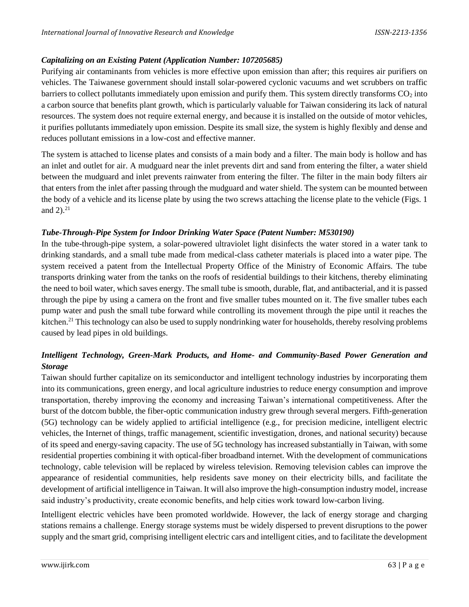#### *Capitalizing on an Existing Patent (Application Number: 107205685)*

Purifying air contaminants from vehicles is more effective upon emission than after; this requires air purifiers on vehicles. The Taiwanese government should install solar-powered cyclonic vacuums and wet scrubbers on traffic barriers to collect pollutants immediately upon emission and purify them. This system directly transforms  $CO<sub>2</sub>$  into a carbon source that benefits plant growth, which is particularly valuable for Taiwan considering its lack of natural resources. The system does not require external energy, and because it is installed on the outside of motor vehicles, it purifies pollutants immediately upon emission. Despite its small size, the system is highly flexibly and dense and reduces pollutant emissions in a low-cost and effective manner.

The system is attached to license plates and consists of a main body and a filter. The main body is hollow and has an inlet and outlet for air. A mudguard near the inlet prevents dirt and sand from entering the filter, a water shield between the mudguard and inlet prevents rainwater from entering the filter. The filter in the main body filters air that enters from the inlet after passing through the mudguard and water shield. The system can be mounted between the body of a vehicle and its license plate by using the two screws attaching the license plate to the vehicle (Figs. 1 and  $2^{2}$ .

#### *Tube-Through-Pipe System for Indoor Drinking Water Space (Patent Number: M530190)*

In the tube-through-pipe system, a solar-powered ultraviolet light disinfects the water stored in a water tank to drinking standards, and a small tube made from medical-class catheter materials is placed into a water pipe. The system received a patent from the Intellectual Property Office of the Ministry of Economic Affairs. The tube transports drinking water from the tanks on the roofs of residential buildings to their kitchens, thereby eliminating the need to boil water, which saves energy. The small tube is smooth, durable, flat, and antibacterial, and it is passed through the pipe by using a camera on the front and five smaller tubes mounted on it. The five smaller tubes each pump water and push the small tube forward while controlling its movement through the pipe until it reaches the kitchen.<sup>21</sup> This technology can also be used to supply nondrinking water for households, thereby resolving problems caused by lead pipes in old buildings.

## *Intelligent Technology, Green-Mark Products, and Home- and Community-Based Power Generation and Storage*

Taiwan should further capitalize on its semiconductor and intelligent technology industries by incorporating them into its communications, green energy, and local agriculture industries to reduce energy consumption and improve transportation, thereby improving the economy and increasing Taiwan's international competitiveness. After the burst of the dotcom bubble, the fiber-optic communication industry grew through several mergers. Fifth-generation (5G) technology can be widely applied to artificial intelligence (e.g., for precision medicine, intelligent electric vehicles, the Internet of things, traffic management, scientific investigation, drones, and national security) because of its speed and energy-saving capacity. The use of 5G technology has increased substantially in Taiwan, with some residential properties combining it with optical-fiber broadband internet. With the development of communications technology, cable television will be replaced by wireless television. Removing television cables can improve the appearance of residential communities, help residents save money on their electricity bills, and facilitate the development of artificial intelligence in Taiwan. It will also improve the high-consumption industry model, increase said industry's productivity, create economic benefits, and help cities work toward low-carbon living.

Intelligent electric vehicles have been promoted worldwide. However, the lack of energy storage and charging stations remains a challenge. Energy storage systems must be widely dispersed to prevent disruptions to the power supply and the smart grid, comprising intelligent electric cars and intelligent cities, and to facilitate the development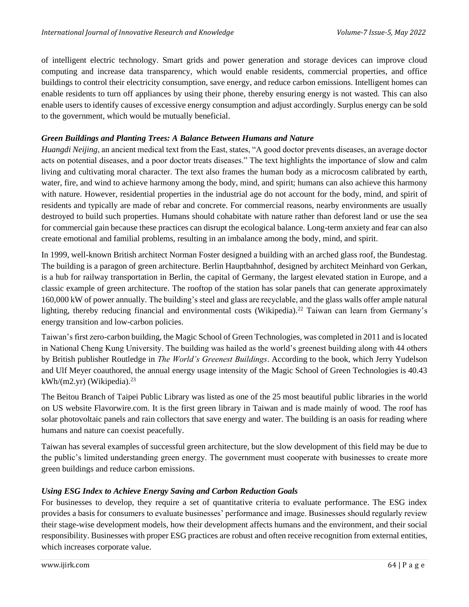of intelligent electric technology. Smart grids and power generation and storage devices can improve cloud computing and increase data transparency, which would enable residents, commercial properties, and office buildings to control their electricity consumption, save energy, and reduce carbon emissions. Intelligent homes can enable residents to turn off appliances by using their phone, thereby ensuring energy is not wasted. This can also enable users to identify causes of excessive energy consumption and adjust accordingly. Surplus energy can be sold to the government, which would be mutually beneficial.

#### *Green Buildings and Planting Trees: A Balance Between Humans and Nature*

*Huangdi Neijing*, an ancient medical text from the East, states, "A good doctor prevents diseases, an average doctor acts on potential diseases, and a poor doctor treats diseases." The text highlights the importance of slow and calm living and cultivating moral character. The text also frames the human body as a microcosm calibrated by earth, water, fire, and wind to achieve harmony among the body, mind, and spirit; humans can also achieve this harmony with nature. However, residential properties in the industrial age do not account for the body, mind, and spirit of residents and typically are made of rebar and concrete. For commercial reasons, nearby environments are usually destroyed to build such properties. Humans should cohabitate with nature rather than deforest land or use the sea for commercial gain because these practices can disrupt the ecological balance. Long-term anxiety and fear can also create emotional and familial problems, resulting in an imbalance among the body, mind, and spirit.

In 1999, well-known British architect Norman Foster designed a building with an arched glass roof, the Bundestag. The building is a paragon of green architecture. Berlin Hauptbahnhof, designed by architect Meinhard von Gerkan, is a hub for railway transportation in Berlin, the capital of Germany, the largest elevated station in Europe, and a classic example of green architecture. The rooftop of the station has solar panels that can generate approximately 160,000 kW of power annually. The building's steel and glass are recyclable, and the glass walls offer ample natural lighting, thereby reducing financial and environmental costs (Wikipedia).<sup>22</sup> Taiwan can learn from Germany's energy transition and low-carbon policies.

Taiwan's first zero-carbon building, the Magic School of Green Technologies, was completed in 2011 and is located in National Cheng Kung University. The building was hailed as the world's greenest building along with 44 others by British publisher Routledge in *The World's Greenest Buildings*. According to the book, which Jerry Yudelson and Ulf Meyer coauthored, the annual energy usage intensity of the Magic School of Green Technologies is 40.43 kWh/(m2.yr) (Wikipedia). $^{23}$ 

The Beitou Branch of Taipei Public Library was listed as one of the 25 most beautiful public libraries in the world on US website Flavorwire.com. It is the first green library in Taiwan and is made mainly of wood. The roof has solar photovoltaic panels and rain collectors that save energy and water. The building is an oasis for reading where humans and nature can coexist peacefully.

Taiwan has several examples of successful green architecture, but the slow development of this field may be due to the public's limited understanding green energy. The government must cooperate with businesses to create more green buildings and reduce carbon emissions.

#### *Using ESG Index to Achieve Energy Saving and Carbon Reduction Goals*

For businesses to develop, they require a set of quantitative criteria to evaluate performance. The ESG index provides a basis for consumers to evaluate businesses' performance and image. Businesses should regularly review their stage-wise development models, how their development affects humans and the environment, and their social responsibility. Businesses with proper ESG practices are robust and often receive recognition from external entities, which increases corporate value.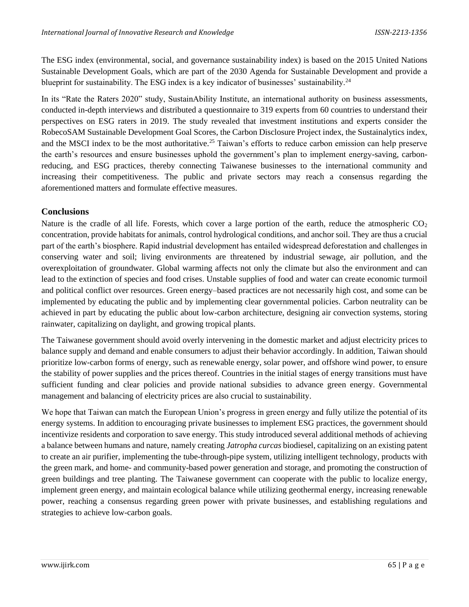The ESG index (environmental, social, and governance sustainability index) is based on the 2015 United Nations Sustainable Development Goals, which are part of the 2030 Agenda for Sustainable Development and provide a blueprint for sustainability. The ESG index is a key indicator of businesses' sustainability.<sup>24</sup>

In its "Rate the Raters 2020" study, SustainAbility Institute, an international authority on business assessments, conducted in-depth interviews and distributed a questionnaire to 319 experts from 60 countries to understand their perspectives on ESG raters in 2019. The study revealed that investment institutions and experts consider the RobecoSAM Sustainable Development Goal Scores, the Carbon Disclosure Project index, the Sustainalytics index, and the MSCI index to be the most authoritative.<sup>25</sup> Taiwan's efforts to reduce carbon emission can help preserve the earth's resources and ensure businesses uphold the government's plan to implement energy-saving, carbonreducing, and ESG practices, thereby connecting Taiwanese businesses to the international community and increasing their competitiveness. The public and private sectors may reach a consensus regarding the aforementioned matters and formulate effective measures.

#### **Conclusions**

Nature is the cradle of all life. Forests, which cover a large portion of the earth, reduce the atmospheric  $CO<sub>2</sub>$ concentration, provide habitats for animals, control hydrological conditions, and anchor soil. They are thus a crucial part of the earth's biosphere. Rapid industrial development has entailed widespread deforestation and challenges in conserving water and soil; living environments are threatened by industrial sewage, air pollution, and the overexploitation of groundwater. Global warming affects not only the climate but also the environment and can lead to the extinction of species and food crises. Unstable supplies of food and water can create economic turmoil and political conflict over resources. Green energy–based practices are not necessarily high cost, and some can be implemented by educating the public and by implementing clear governmental policies. Carbon neutrality can be achieved in part by educating the public about low-carbon architecture, designing air convection systems, storing rainwater, capitalizing on daylight, and growing tropical plants.

The Taiwanese government should avoid overly intervening in the domestic market and adjust electricity prices to balance supply and demand and enable consumers to adjust their behavior accordingly. In addition, Taiwan should prioritize low-carbon forms of energy, such as renewable energy, solar power, and offshore wind power, to ensure the stability of power supplies and the prices thereof. Countries in the initial stages of energy transitions must have sufficient funding and clear policies and provide national subsidies to advance green energy. Governmental management and balancing of electricity prices are also crucial to sustainability.

We hope that Taiwan can match the European Union's progress in green energy and fully utilize the potential of its energy systems. In addition to encouraging private businesses to implement ESG practices, the government should incentivize residents and corporation to save energy. This study introduced several additional methods of achieving a balance between humans and nature, namely creating *Jatropha curcas* biodiesel, capitalizing on an existing patent to create an air purifier, implementing the tube-through-pipe system, utilizing intelligent technology, products with the green mark, and home- and community-based power generation and storage, and promoting the construction of green buildings and tree planting. The Taiwanese government can cooperate with the public to localize energy, implement green energy, and maintain ecological balance while utilizing geothermal energy, increasing renewable power, reaching a consensus regarding green power with private businesses, and establishing regulations and strategies to achieve low-carbon goals.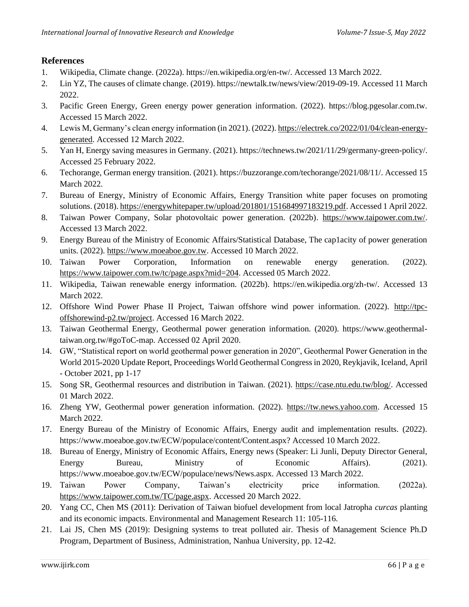## **References**

- 1. Wikipedia, Climate change. (2022a). https://en.wikipedia.org/en-tw/. Accessed 13 March 2022.
- 2. Lin YZ, The causes of climate change. (2019). https://newtalk.tw/news/view/2019-09-19. Accessed 11 March 2022.
- 3. Pacific Green Energy, Green energy power generation information. (2022). https://blog.pgesolar.com.tw. Accessed 15 March 2022.
- 4. Lewis M, Germany's clean energy information (in 2021). (2022). [https://electrek.co/2022/01/04/clean-energy](https://electrek.co/2022/01/04/clean-energy-generated)[generated.](https://electrek.co/2022/01/04/clean-energy-generated) Accessed 12 March 2022.
- 5. Yan H, Energy saving measures in Germany. (2021). https://technews.tw/2021/11/29/germany-green-policy/. Accessed 25 February 2022.
- 6. Techorange, German energy transition. (2021). https://buzzorange.com/techorange/2021/08/11/. Accessed 15 March 2022.
- 7. Bureau of Energy, Ministry of Economic Affairs, Energy Transition white paper focuses on promoting solutions. (2018)[. https://energywhitepaper.tw/upload/201801/151684997183219.pdf.](https://energywhitepaper.tw/upload/201801/151684997183219.pdf) Accessed 1 April 2022.
- 8. Taiwan Power Company, Solar photovoltaic power generation. (2022b). [https://www.taipower.com.tw/.](https://www.taipower.com.tw/) Accessed 13 March 2022.
- 9. Energy Bureau of the Ministry of Economic Affairs/Statistical Database, The cap1acity of power generation units. (2022)[. https://www.moeaboe.gov.tw.](https://www.moeaboe.gov.tw/) Accessed 10 March 2022.
- 10. Taiwan Power Corporation, Information on renewable energy generation. (2022). [https://www.taipower.com.tw/tc/page.aspx?mid=204.](https://www.taipower.com.tw/tc/page.aspx?mid=204) Accessed 05 March 2022.
- 11. Wikipedia, Taiwan renewable energy information. (2022b). https://en.wikipedia.org/zh-tw/. Accessed 13 March 2022.
- 12. Offshore Wind Power Phase II Project, Taiwan offshore wind power information. (2022). [http://tpc](http://tpc-offshorewind-p2.tw/project)[offshorewind-p2.tw/project.](http://tpc-offshorewind-p2.tw/project) Accessed 16 March 2022.
- 13. Taiwan Geothermal Energy, Geothermal power generation information. (2020). https://www.geothermaltaiwan.org.tw/#goToC-map. Accessed 02 April 2020.
- 14. GW, "Statistical report on world geothermal power generation in 2020", Geothermal Power Generation in the World 2015-2020 Update Report, Proceedings World Geothermal Congress in 2020, Reykjavik, Iceland, April - October 2021, pp 1-17
- 15. Song SR, Geothermal resources and distribution in Taiwan. (2021). [https://case.ntu.edu.tw/blog/.](https://case.ntu.edu.tw/blog/) Accessed 01 March 2022.
- 16. Zheng YW, Geothermal power generation information. (2022). [https://tw.news.yahoo.com.](https://tw.news.yahoo.com/) Accessed 15 March 2022.
- 17. Energy Bureau of the Ministry of Economic Affairs, Energy audit and implementation results. (2022). https://www.moeaboe.gov.tw/ECW/populace/content/Content.aspx? Accessed 10 March 2022.
- 18. Bureau of Energy, Ministry of Economic Affairs, Energy news (Speaker: Li Junli, Deputy Director General, Energy Bureau, Ministry of Economic Affairs). (2021). https://www.moeaboe.gov.tw/ECW/populace/news/News.aspx. Accessed 13 March 2022.
- 19. Taiwan Power Company, Taiwan's electricity price information. (2022a). [https://www.taipower.com.tw/TC/page.aspx.](https://www.taipower.com.tw/TC/page.aspx) Accessed 20 March 2022.
- 20. Yang CC, Chen MS (2011): Derivation of Taiwan biofuel development from local Jatropha *curcas* planting and its economic impacts. Environmental and Management Research 11: 105-116.
- 21. Lai JS, Chen MS (2019): Designing systems to treat polluted air. Thesis of Management Science Ph.D Program, Department of Business, Administration, Nanhua University, pp. 12-42.